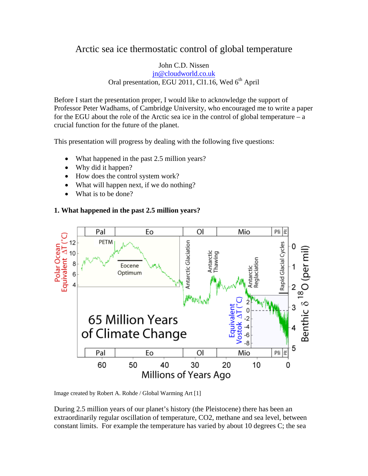# Arctic sea ice thermostatic control of global temperature

#### John C.D. Nissen [jn@cloudworld.co.uk](mailto:jn@cloudworld.co.uk) Oral presentation, EGU 2011, Cl1.16, Wed 6<sup>th</sup> April

Before I start the presentation proper, I would like to acknowledge the support of Professor Peter Wadhams, of Cambridge University, who encouraged me to write a paper for the EGU about the role of the Arctic sea ice in the control of global temperature – a crucial function for the future of the planet.

This presentation will progress by dealing with the following five questions:

- What happened in the past 2.5 million years?
- Why did it happen?
- How does the control system work?
- What will happen next, if we do nothing?
- What is to be done?

#### **1. What happened in the past 2.5 million years?**



Image created by Robert A. Rohde / Global Warming Art [1]

During 2.5 million years of our planet's history (the Pleistocene) there has been an extraordinarily regular oscillation of temperature, CO2, methane and sea level, between constant limits. For example the temperature has varied by about 10 degrees C; the sea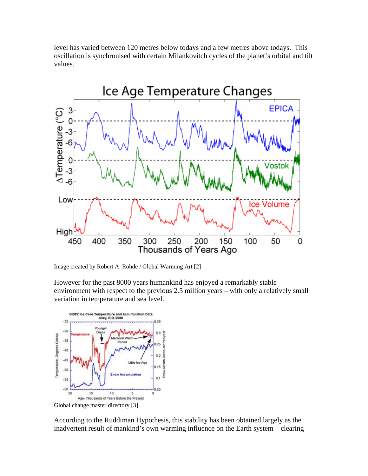level has varied between 120 metres below todays and a few metres above todays. This oscillation is synchronised with certain Milankovitch cycles of the planet's orbital and tilt values.



Image created by Robert A. Rohde / Global Warming Art [2]

However for the past 8000 years humankind has enjoyed a remarkably stable environment with respect to the previous 2.5 million years – with only a relatively small variation in temperature and sea level.



Global change master directory [3]

According to the Ruddiman Hypothesis, this stability has been obtained largely as the inadvertent result of mankind's own warming influence on the Earth system – clearing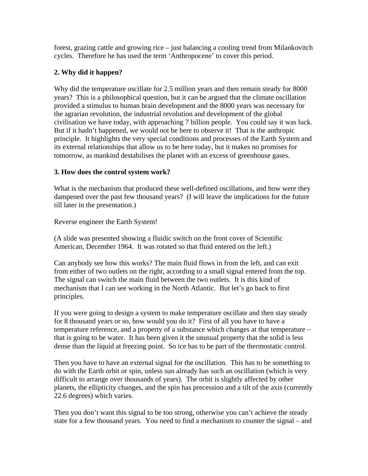forest, grazing cattle and growing rice – just balancing a cooling trend from Milankovitch cycles. Therefore he has used the term 'Anthropocene' to cover this period.

### **2. Why did it happen?**

Why did the temperature oscillate for 2.5 million years and then remain steady for 8000 years? This is a philosophical question, but it can be argued that the climate oscillation provided a stimulus to human brain development and the 8000 years was necessary for the agrarian revolution, the industrial revolution and development of the global civilisation we have today, with approaching 7 billion people. You could say it was luck. But if it hadn't happened, we would not be here to observe it! That is the anthropic principle. It highlights the very special conditions and processes of the Earth System and its external relationships that allow us to be here today, but it makes no promises for tomorrow, as mankind destabilises the planet with an excess of greenhouse gases.

#### **3. How does the control system work?**

What is the mechanism that produced these well-defined oscillations, and how were they dampened over the past few thousand years? (I will leave the implications for the future till later in the presentation.)

Reverse engineer the Earth System!

(A slide was presented showing a fluidic switch on the front cover of Scientific American, December 1964. It was rotated so that fluid entered on the left.)

Can anybody see how this works? The main fluid flows in from the left, and can exit from either of two outlets on the right, according to a small signal entered from the top. The signal can switch the main fluid between the two outlets. It is this kind of mechanism that I can see working in the North Atlantic. But let's go back to first principles.

If you were going to design a system to make temperature oscillate and then stay steady for 8 thousand years or so, how would you do it? First of all you have to have a temperature reference, and a property of a substance which changes at that temperature – that is going to be water. It has been given it the unusual property that the solid is less dense than the liquid at freezing point. So ice has to be part of the thermostatic control.

Then you have to have an external signal for the oscillation. This has to be something to do with the Earth orbit or spin, unless sun already has such an oscillation (which is very difficult to arrange over thousands of years). The orbit is slightly affected by other planets, the ellipticity changes, and the spin has precession and a tilt of the axis (currently 22.6 degrees) which varies.

Then you don't want this signal to be too strong, otherwise you can't achieve the steady state for a few thousand years. You need to find a mechanism to counter the signal – and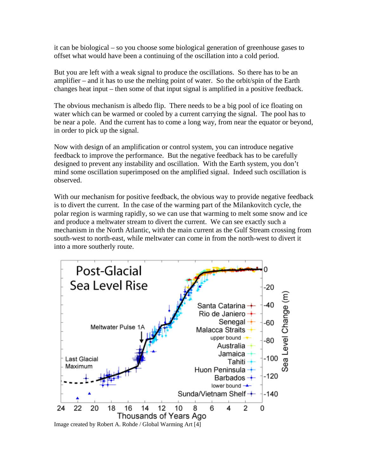it can be biological – so you choose some biological generation of greenhouse gases to offset what would have been a continuing of the oscillation into a cold period.

But you are left with a weak signal to produce the oscillations. So there has to be an amplifier – and it has to use the melting point of water. So the orbit/spin of the Earth changes heat input – then some of that input signal is amplified in a positive feedback.

The obvious mechanism is albedo flip. There needs to be a big pool of ice floating on water which can be warmed or cooled by a current carrying the signal. The pool has to be near a pole. And the current has to come a long way, from near the equator or beyond, in order to pick up the signal.

Now with design of an amplification or control system, you can introduce negative feedback to improve the performance. But the negative feedback has to be carefully designed to prevent any instability and oscillation. With the Earth system, you don't mind some oscillation superimposed on the amplified signal. Indeed such oscillation is observed.

With our mechanism for positive feedback, the obvious way to provide negative feedback is to divert the current. In the case of the warming part of the Milankovitch cycle, the polar region is warming rapidly, so we can use that warming to melt some snow and ice and produce a meltwater stream to divert the current. We can see exactly such a mechanism in the North Atlantic, with the main current as the Gulf Stream crossing from south-west to north-east, while meltwater can come in from the north-west to divert it into a more southerly route.

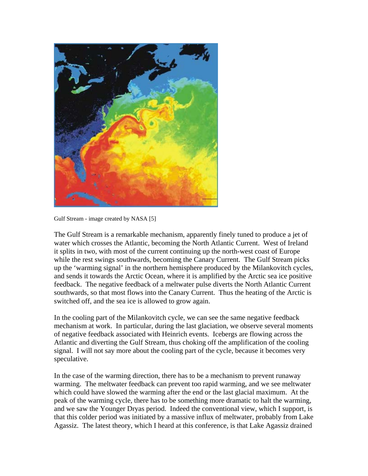

Gulf Stream - image created by NASA [5]

The Gulf Stream is a remarkable mechanism, apparently finely tuned to produce a jet of water which crosses the Atlantic, becoming the North Atlantic Current. West of Ireland it splits in two, with most of the current continuing up the north-west coast of Europe while the rest swings southwards, becoming the Canary Current. The Gulf Stream picks up the 'warming signal' in the northern hemisphere produced by the Milankovitch cycles, and sends it towards the Arctic Ocean, where it is amplified by the Arctic sea ice positive feedback. The negative feedback of a meltwater pulse diverts the North Atlantic Current southwards, so that most flows into the Canary Current. Thus the heating of the Arctic is switched off, and the sea ice is allowed to grow again.

In the cooling part of the Milankovitch cycle, we can see the same negative feedback mechanism at work. In particular, during the last glaciation, we observe several moments of negative feedback associated with Heinrich events. Icebergs are flowing across the Atlantic and diverting the Gulf Stream, thus choking off the amplification of the cooling signal. I will not say more about the cooling part of the cycle, because it becomes very speculative.

In the case of the warming direction, there has to be a mechanism to prevent runaway warming. The meltwater feedback can prevent too rapid warming, and we see meltwater which could have slowed the warming after the end or the last glacial maximum. At the peak of the warming cycle, there has to be something more dramatic to halt the warming, and we saw the Younger Dryas period. Indeed the conventional view, which I support, is that this colder period was initiated by a massive influx of meltwater, probably from Lake Agassiz. The latest theory, which I heard at this conference, is that Lake Agassiz drained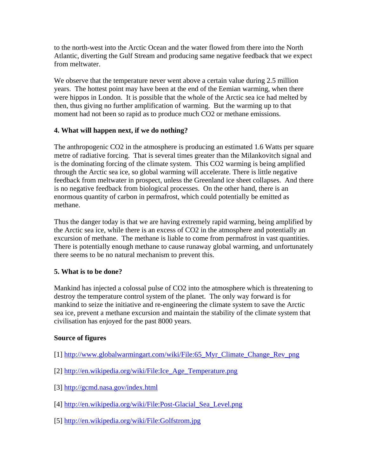to the north-west into the Arctic Ocean and the water flowed from there into the North Atlantic, diverting the Gulf Stream and producing same negative feedback that we expect from meltwater.

We observe that the temperature never went above a certain value during 2.5 million years. The hottest point may have been at the end of the Eemian warming, when there were hippos in London. It is possible that the whole of the Arctic sea ice had melted by then, thus giving no further amplification of warming. But the warming up to that moment had not been so rapid as to produce much CO2 or methane emissions.

## **4. What will happen next, if we do nothing?**

The anthropogenic CO2 in the atmosphere is producing an estimated 1.6 Watts per square metre of radiative forcing. That is several times greater than the Milankovitch signal and is the dominating forcing of the climate system. This CO2 warming is being amplified through the Arctic sea ice, so global warming will accelerate. There is little negative feedback from meltwater in prospect, unless the Greenland ice sheet collapses. And there is no negative feedback from biological processes. On the other hand, there is an enormous quantity of carbon in permafrost, which could potentially be emitted as methane.

Thus the danger today is that we are having extremely rapid warming, being amplified by the Arctic sea ice, while there is an excess of CO2 in the atmosphere and potentially an excursion of methane. The methane is liable to come from permafrost in vast quantities. There is potentially enough methane to cause runaway global warming, and unfortunately there seems to be no natural mechanism to prevent this.

#### **5. What is to be done?**

Mankind has injected a colossal pulse of CO2 into the atmosphere which is threatening to destroy the temperature control system of the planet. The only way forward is for mankind to seize the initiative and re-engineering the climate system to save the Arctic sea ice, prevent a methane excursion and maintain the stability of the climate system that civilisation has enjoyed for the past 8000 years.

#### **Source of figures**

- [1] http://www.globalwarmingart.com/wiki/File:65 Myr\_Climate\_Change\_Rev\_png
- [2] [http://en.wikipedia.org/wiki/File:Ice\\_Age\\_Temperature.png](http://en.wikipedia.org/wiki/File:Ice_Age_Temperature.png)
- [3] <http://gcmd.nasa.gov/index.html>
- [4] [http://en.wikipedia.org/wiki/File:Post-Glacial\\_Sea\\_Level.png](http://en.wikipedia.org/wiki/File:Post-Glacial_Sea_Level.png)
- [5] <http://en.wikipedia.org/wiki/File:Golfstrom.jpg>